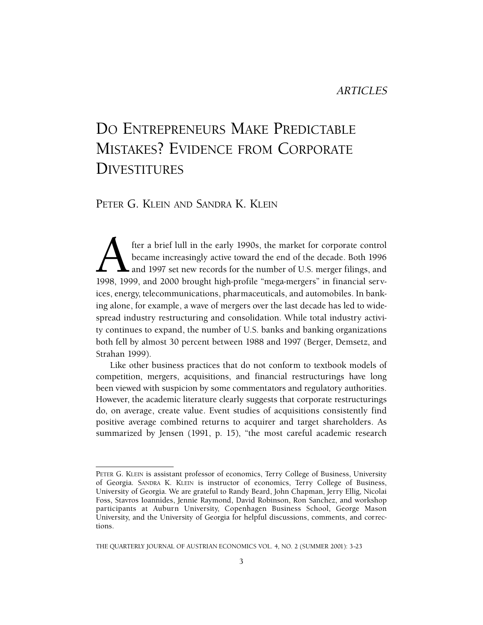# DO ENTREPRENEURS MAKE PREDICTABLE MISTAKES? EVIDENCE FROM CORPORATE **DIVESTITURES**

PETER G. KLEIN AND SANDRA K. KLEIN

fter a brief lull in the early 1990s, the market for corporate control<br>became increasingly active toward the end of the decade. Both 1996<br>and 1997 set new records for the number of U.S. merger filings, and<br>1998, 1999, and became increasingly active toward the end of the decade. Both 1996 and 1997 set new records for the number of U.S. merger filings, and 1998, 1999, and 2000 brought high-profile "mega-mergers" in financial services, energy, telecommunications, pharmaceuticals, and automobiles. In banking alone, for example, a wave of mergers over the last decade has led to widespread industry restructuring and consolidation. While total industry activity continues to expand, the number of U.S. banks and banking organizations both fell by almost 30 percent between 1988 and 1997 (Berger, Demsetz, and Strahan 1999).

Like other business practices that do not conform to textbook models of competition, mergers, acquisitions, and financial restructurings have long been viewed with suspicion by some commentators and regulatory authorities. However, the academic literature clearly suggests that corporate restructurings do, on average, create value. Event studies of acquisitions consistently find positive average combined returns to acquirer and target shareholders. As summarized by Jensen (1991, p. 15), "the most careful academic research

PETER G. KLEIN is assistant professor of economics, Terry College of Business, University of Georgia. SANDRA K. KLEIN is instructor of economics, Terry College of Business, University of Georgia. We are grateful to Randy Beard, John Chapman, Jerry Ellig, Nicolai Foss, Stavros Ioannides, Jennie Raymond, David Robinson, Ron Sanchez, and workshop participants at Auburn University, Copenhagen Business School, George Mason University, and the University of Georgia for helpful discussions, comments, and corrections.

THE QUARTERLY JOURNAL OF AUSTRIAN ECONOMICS VOL. 4, NO. 2 (SUMMER 2001): 3–23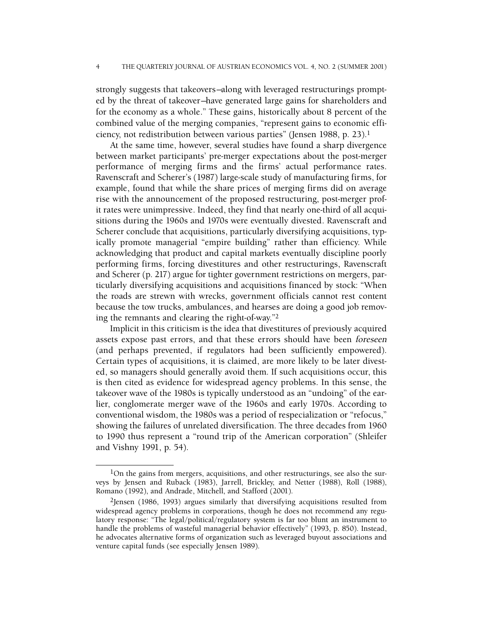strongly suggests that takeovers—along with leveraged restructurings prompted by the threat of takeover—have generated large gains for shareholders and for the economy as a whole." These gains, historically about 8 percent of the combined value of the merging companies, "represent gains to economic efficiency, not redistribution between various parties" (Jensen 1988, p. 23).1

At the same time, however, several studies have found a sharp divergence between market participants' pre-merger expectations about the post-merger performance of merging firms and the firms' actual performance rates. Ravenscraft and Scherer's (1987) large-scale study of manufacturing firms, for example, found that while the share prices of merging firms did on average rise with the announcement of the proposed restructuring, post-merger profit rates were unimpressive. Indeed, they find that nearly one-third of all acquisitions during the 1960s and 1970s were eventually divested. Ravenscraft and Scherer conclude that acquisitions, particularly diversifying acquisitions, typically promote managerial "empire building" rather than efficiency. While acknowledging that product and capital markets eventually discipline poorly performing firms, forcing divestitures and other restructurings, Ravenscraft and Scherer (p. 217) argue for tighter government restrictions on mergers, particularly diversifying acquisitions and acquisitions financed by stock: "When the roads are strewn with wrecks, government officials cannot rest content because the tow trucks, ambulances, and hearses are doing a good job removing the remnants and clearing the right-of-way."2

Implicit in this criticism is the idea that divestitures of previously acquired assets expose past errors, and that these errors should have been foreseen (and perhaps prevented, if regulators had been sufficiently empowered). Certain types of acquisitions, it is claimed, are more likely to be later divested, so managers should generally avoid them. If such acquisitions occur, this is then cited as evidence for widespread agency problems. In this sense, the takeover wave of the 1980s is typically understood as an "undoing" of the earlier, conglomerate merger wave of the 1960s and early 1970s. According to conventional wisdom, the 1980s was a period of respecialization or "refocus," showing the failures of unrelated diversification. The three decades from 1960 to 1990 thus represent a "round trip of the American corporation" (Shleifer and Vishny 1991, p. 54).

<sup>1</sup>On the gains from mergers, acquisitions, and other restructurings, see also the surveys by Jensen and Ruback (1983), Jarrell, Brickley, and Netter (1988), Roll (1988), Romano (1992), and Andrade, Mitchell, and Stafford (2001).

<sup>2</sup>Jensen (1986, 1993) argues similarly that diversifying acquisitions resulted from widespread agency problems in corporations, though he does not recommend any regulatory response: "The legal/political/regulatory system is far too blunt an instrument to handle the problems of wasteful managerial behavior effectively" (1993, p. 850). Instead, he advocates alternative forms of organization such as leveraged buyout associations and venture capital funds (see especially Jensen 1989).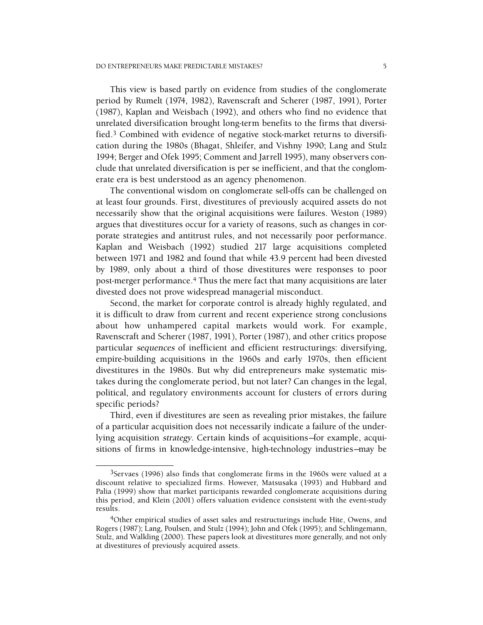This view is based partly on evidence from studies of the conglomerate period by Rumelt (1974, 1982), Ravenscraft and Scherer (1987, 1991), Porter (1987), Kaplan and Weisbach (1992), and others who find no evidence that unrelated diversification brought long-term benefits to the firms that diversified.3 Combined with evidence of negative stock-market returns to diversification during the 1980s (Bhagat, Shleifer, and Vishny 1990; Lang and Stulz 1994; Berger and Ofek 1995; Comment and Jarrell 1995), many observers conclude that unrelated diversification is per se inefficient, and that the conglomerate era is best understood as an agency phenomenon.

The conventional wisdom on conglomerate sell-offs can be challenged on at least four grounds. First, divestitures of previously acquired assets do not necessarily show that the original acquisitions were failures. Weston (1989) argues that divestitures occur for a variety of reasons, such as changes in corporate strategies and antitrust rules, and not necessarily poor performance. Kaplan and Weisbach (1992) studied 217 large acquisitions completed between 1971 and 1982 and found that while 43.9 percent had been divested by 1989, only about a third of those divestitures were responses to poor post-merger performance.4 Thus the mere fact that many acquisitions are later divested does not prove widespread managerial misconduct.

Second, the market for corporate control is already highly regulated, and it is difficult to draw from current and recent experience strong conclusions about how unhampered capital markets would work. For example, Ravenscraft and Scherer (1987, 1991), Porter (1987), and other critics propose particular sequences of inefficient and efficient restructurings: diversifying, empire-building acquisitions in the 1960s and early 1970s, then efficient divestitures in the 1980s. But why did entrepreneurs make systematic mistakes during the conglomerate period, but not later? Can changes in the legal, political, and regulatory environments account for clusters of errors during specific periods?

Third, even if divestitures are seen as revealing prior mistakes, the failure of a particular acquisition does not necessarily indicate a failure of the underlying acquisition strategy. Certain kinds of acquisitions—for example, acquisitions of firms in knowledge-intensive, high-technology industries—may be

 $3$ Servaes (1996) also finds that conglomerate firms in the 1960s were valued at a discount relative to specialized firms. However, Matsusaka (1993) and Hubbard and Palia (1999) show that market participants rewarded conglomerate acquisitions during this period, and Klein (2001) offers valuation evidence consistent with the event-study results.

<sup>4</sup>Other empirical studies of asset sales and restructurings include Hite, Owens, and Rogers (1987); Lang, Poulsen, and Stulz (1994); John and Ofek (1995); and Schlingemann, Stulz, and Walkling (2000). These papers look at divestitures more generally, and not only at divestitures of previously acquired assets.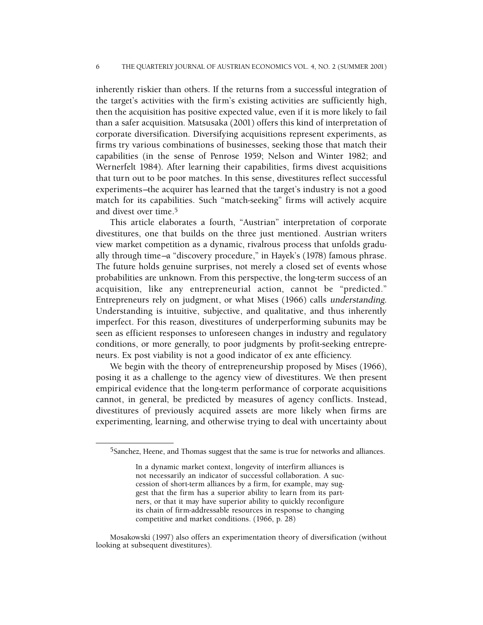inherently riskier than others. If the returns from a successful integration of the target's activities with the firm's existing activities are sufficiently high, then the acquisition has positive expected value, even if it is more likely to fail than a safer acquisition. Matsusaka (2001) offers this kind of interpretation of corporate diversification. Diversifying acquisitions represent experiments, as firms try various combinations of businesses, seeking those that match their capabilities (in the sense of Penrose 1959; Nelson and Winter 1982; and Wernerfelt 1984). After learning their capabilities, firms divest acquisitions that turn out to be poor matches. In this sense, divestitures reflect successful experiments—the acquirer has learned that the target's industry is not a good match for its capabilities. Such "match-seeking" firms will actively acquire and divest over time.5

This article elaborates a fourth, "Austrian" interpretation of corporate divestitures, one that builds on the three just mentioned. Austrian writers view market competition as a dynamic, rivalrous process that unfolds gradually through time—a "discovery procedure," in Hayek's (1978) famous phrase. The future holds genuine surprises, not merely a closed set of events whose probabilities are unknown. From this perspective, the long-term success of an acquisition, like any entrepreneurial action, cannot be "predicted." Entrepreneurs rely on judgment, or what Mises (1966) calls understanding. Understanding is intuitive, subjective, and qualitative, and thus inherently imperfect. For this reason, divestitures of underperforming subunits may be seen as efficient responses to unforeseen changes in industry and regulatory conditions, or more generally, to poor judgments by profit-seeking entrepreneurs. Ex post viability is not a good indicator of ex ante efficiency.

We begin with the theory of entrepreneurship proposed by Mises (1966), posing it as a challenge to the agency view of divestitures. We then present empirical evidence that the long-term performance of corporate acquisitions cannot, in general, be predicted by measures of agency conflicts. Instead, divestitures of previously acquired assets are more likely when firms are experimenting, learning, and otherwise trying to deal with uncertainty about

Mosakowski (1997) also offers an experimentation theory of diversification (without looking at subsequent divestitures).

<sup>5</sup>Sanchez, Heene, and Thomas suggest that the same is true for networks and alliances.

In a dynamic market context, longevity of interfirm alliances is not necessarily an indicator of successful collaboration. A succession of short-term alliances by a firm, for example, may suggest that the firm has a superior ability to learn from its partners, or that it may have superior ability to quickly reconfigure its chain of firm-addressable resources in response to changing competitive and market conditions. (1966, p. 28)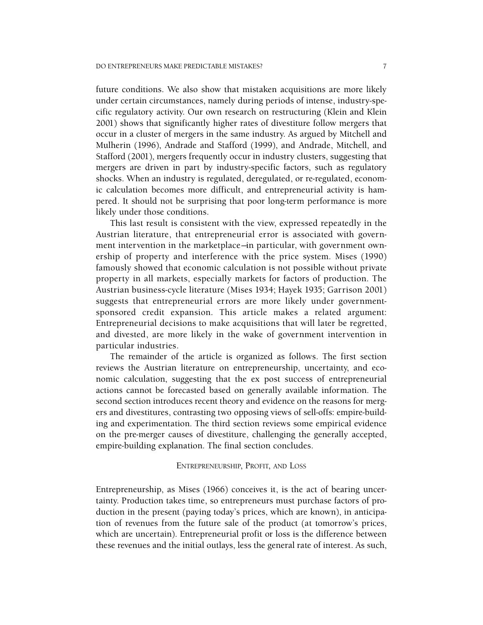future conditions. We also show that mistaken acquisitions are more likely under certain circumstances, namely during periods of intense, industry-specific regulatory activity. Our own research on restructuring (Klein and Klein 2001) shows that significantly higher rates of divestiture follow mergers that occur in a cluster of mergers in the same industry. As argued by Mitchell and Mulherin (1996), Andrade and Stafford (1999), and Andrade, Mitchell, and Stafford (2001), mergers frequently occur in industry clusters, suggesting that mergers are driven in part by industry-specific factors, such as regulatory shocks. When an industry is regulated, deregulated, or re-regulated, economic calculation becomes more difficult, and entrepreneurial activity is hampered. It should not be surprising that poor long-term performance is more likely under those conditions.

This last result is consistent with the view, expressed repeatedly in the Austrian literature, that entrepreneurial error is associated with government intervention in the marketplace-in particular, with government ownership of property and interference with the price system. Mises (1990) famously showed that economic calculation is not possible without private property in all markets, especially markets for factors of production. The Austrian business-cycle literature (Mises 1934; Hayek 1935; Garrison 2001) suggests that entrepreneurial errors are more likely under governmentsponsored credit expansion. This article makes a related argument: Entrepreneurial decisions to make acquisitions that will later be regretted, and divested, are more likely in the wake of government intervention in particular industries.

The remainder of the article is organized as follows. The first section reviews the Austrian literature on entrepreneurship, uncertainty, and economic calculation, suggesting that the ex post success of entrepreneurial actions cannot be forecasted based on generally available information. The second section introduces recent theory and evidence on the reasons for mergers and divestitures, contrasting two opposing views of sell-offs: empire-building and experimentation. The third section reviews some empirical evidence on the pre-merger causes of divestiture, challenging the generally accepted, empire-building explanation. The final section concludes.

# ENTREPRENEURSHIP, PROFIT, AND LOSS

Entrepreneurship, as Mises (1966) conceives it, is the act of bearing uncertainty. Production takes time, so entrepreneurs must purchase factors of production in the present (paying today's prices, which are known), in anticipation of revenues from the future sale of the product (at tomorrow's prices, which are uncertain). Entrepreneurial profit or loss is the difference between these revenues and the initial outlays, less the general rate of interest. As such,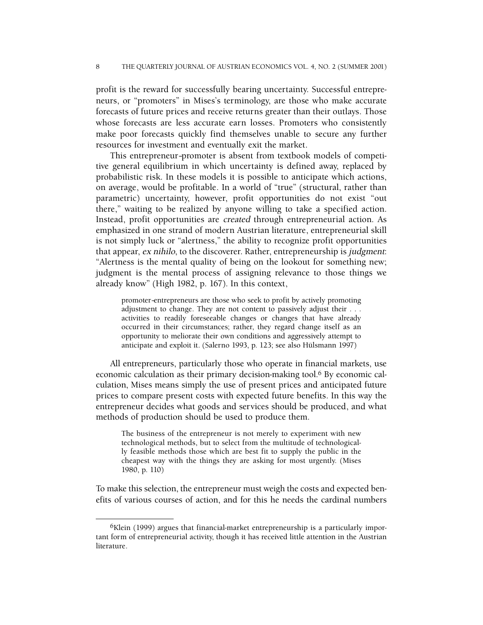profit is the reward for successfully bearing uncertainty. Successful entrepreneurs, or "promoters" in Mises's terminology, are those who make accurate forecasts of future prices and receive returns greater than their outlays. Those whose forecasts are less accurate earn losses. Promoters who consistently make poor forecasts quickly find themselves unable to secure any further resources for investment and eventually exit the market.

This entrepreneur–promoter is absent from textbook models of competitive general equilibrium in which uncertainty is defined away, replaced by probabilistic risk. In these models it is possible to anticipate which actions, on average, would be profitable. In a world of "true" (structural, rather than parametric) uncertainty, however, profit opportunities do not exist "out there," waiting to be realized by anyone willing to take a specified action. Instead, profit opportunities are created through entrepreneurial action. As emphasized in one strand of modern Austrian literature, entrepreneurial skill is not simply luck or "alertness," the ability to recognize profit opportunities that appear, ex nihilo, to the discoverer. Rather, entrepreneurship is judgment: "Alertness is the mental quality of being on the lookout for something new; judgment is the mental process of assigning relevance to those things we already know" (High 1982, p. 167). In this context,

promoter–entrepreneurs are those who seek to profit by actively promoting adjustment to change. They are not content to passively adjust their . . . activities to readily foreseeable changes or changes that have already occurred in their circumstances; rather, they regard change itself as an opportunity to meliorate their own conditions and aggressively attempt to anticipate and exploit it. (Salerno 1993, p. 123; see also Hülsmann 1997)

All entrepreneurs, particularly those who operate in financial markets, use economic calculation as their primary decision-making tool.6 By economic calculation, Mises means simply the use of present prices and anticipated future prices to compare present costs with expected future benefits. In this way the entrepreneur decides what goods and services should be produced, and what methods of production should be used to produce them.

The business of the entrepreneur is not merely to experiment with new technological methods, but to select from the multitude of technologically feasible methods those which are best fit to supply the public in the cheapest way with the things they are asking for most urgently. (Mises 1980, p. 110)

To make this selection, the entrepreneur must weigh the costs and expected benefits of various courses of action, and for this he needs the cardinal numbers

<sup>6</sup>Klein (1999) argues that financial-market entrepreneurship is a particularly important form of entrepreneurial activity, though it has received little attention in the Austrian literature.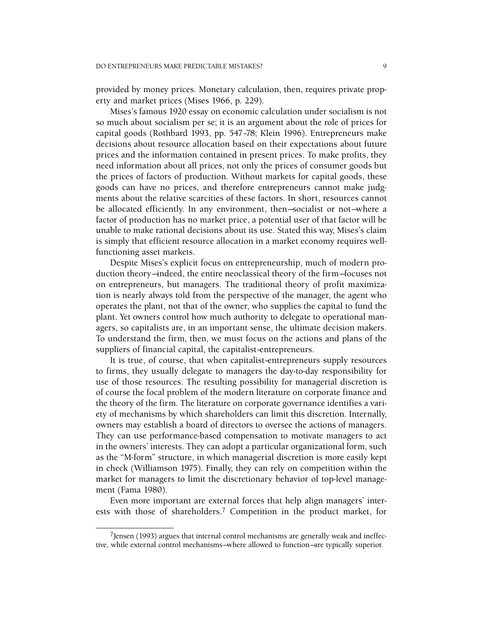provided by money prices. Monetary calculation, then, requires private property and market prices (Mises 1966, p. 229).

Mises's famous 1920 essay on economic calculation under socialism is not so much about socialism per se; it is an argument about the role of prices for capital goods (Rothbard 1993, pp. 547–78; Klein 1996). Entrepreneurs make decisions about resource allocation based on their expectations about future prices and the information contained in present prices. To make profits, they need information about all prices, not only the prices of consumer goods but the prices of factors of production. Without markets for capital goods, these goods can have no prices, and therefore entrepreneurs cannot make judgments about the relative scarcities of these factors. In short, resources cannot be allocated efficiently. In any environment, then—socialist or not—where a factor of production has no market price, a potential user of that factor will be unable to make rational decisions about its use. Stated this way, Mises's claim is simply that efficient resource allocation in a market economy requires wellfunctioning asset markets.

Despite Mises's explicit focus on entrepreneurship, much of modern production theory—indeed, the entire neoclassical theory of the firm—focuses not on entrepreneurs, but managers. The traditional theory of profit maximization is nearly always told from the perspective of the manager, the agent who operates the plant, not that of the owner, who supplies the capital to fund the plant. Yet owners control how much authority to delegate to operational managers, so capitalists are, in an important sense, the ultimate decision makers. To understand the firm, then, we must focus on the actions and plans of the suppliers of financial capital, the capitalist–entrepreneurs.

It is true, of course, that when capitalist–entrepreneurs supply resources to firms, they usually delegate to managers the day-to-day responsibility for use of those resources. The resulting possibility for managerial discretion is of course the focal problem of the modern literature on corporate finance and the theory of the firm. The literature on corporate governance identifies a variety of mechanisms by which shareholders can limit this discretion. Internally, owners may establish a board of directors to oversee the actions of managers. They can use performance-based compensation to motivate managers to act in the owners' interests. They can adopt a particular organizational form, such as the "M-form" structure, in which managerial discretion is more easily kept in check (Williamson 1975). Finally, they can rely on competition within the market for managers to limit the discretionary behavior of top-level management (Fama 1980).

Even more important are external forces that help align managers' interests with those of shareholders.7 Competition in the product market, for

<sup>7</sup>Jensen (1993) argues that internal control mechanisms are generally weak and ineffective, while external control mechanisms—where allowed to function—are typically superior.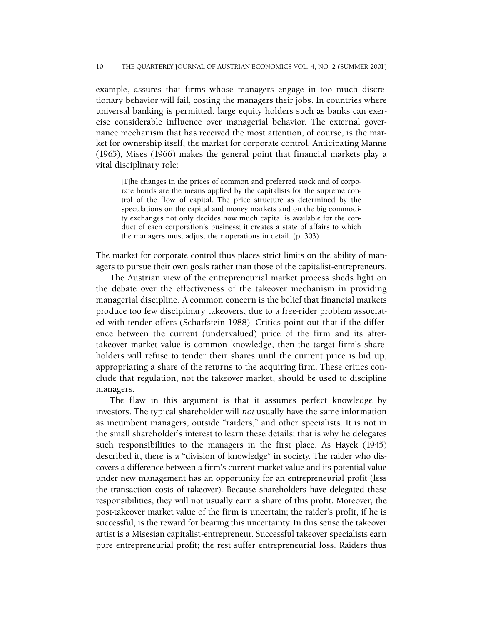example, assures that firms whose managers engage in too much discretionary behavior will fail, costing the managers their jobs. In countries where universal banking is permitted, large equity holders such as banks can exercise considerable influence over managerial behavior. The external governance mechanism that has received the most attention, of course, is the market for ownership itself, the market for corporate control. Anticipating Manne (1965), Mises (1966) makes the general point that financial markets play a vital disciplinary role:

[T]he changes in the prices of common and preferred stock and of corporate bonds are the means applied by the capitalists for the supreme control of the flow of capital. The price structure as determined by the speculations on the capital and money markets and on the big commodity exchanges not only decides how much capital is available for the conduct of each corporation's business; it creates a state of affairs to which the managers must adjust their operations in detail. (p. 303)

The market for corporate control thus places strict limits on the ability of managers to pursue their own goals rather than those of the capitalist–entrepreneurs.

The Austrian view of the entrepreneurial market process sheds light on the debate over the effectiveness of the takeover mechanism in providing managerial discipline. A common concern is the belief that financial markets produce too few disciplinary takeovers, due to a free-rider problem associated with tender offers (Scharfstein 1988). Critics point out that if the difference between the current (undervalued) price of the firm and its aftertakeover market value is common knowledge, then the target firm's shareholders will refuse to tender their shares until the current price is bid up, appropriating a share of the returns to the acquiring firm. These critics conclude that regulation, not the takeover market, should be used to discipline managers.

The flaw in this argument is that it assumes perfect knowledge by investors. The typical shareholder will not usually have the same information as incumbent managers, outside "raiders," and other specialists. It is not in the small shareholder's interest to learn these details; that is why he delegates such responsibilities to the managers in the first place. As Hayek (1945) described it, there is a "division of knowledge" in society. The raider who discovers a difference between a firm's current market value and its potential value under new management has an opportunity for an entrepreneurial profit (less the transaction costs of takeover). Because shareholders have delegated these responsibilities, they will not usually earn a share of this profit. Moreover, the post-takeover market value of the firm is uncertain; the raider's profit, if he is successful, is the reward for bearing this uncertainty. In this sense the takeover artist is a Misesian capitalist–entrepreneur. Successful takeover specialists earn pure entrepreneurial profit; the rest suffer entrepreneurial loss. Raiders thus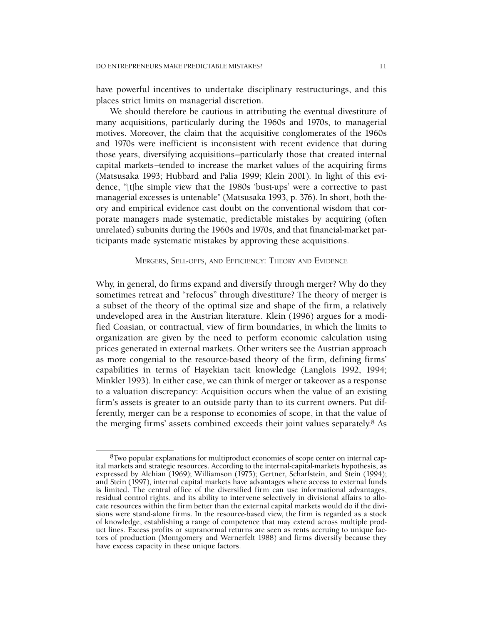have powerful incentives to undertake disciplinary restructurings, and this places strict limits on managerial discretion.

We should therefore be cautious in attributing the eventual divestiture of many acquisitions, particularly during the 1960s and 1970s, to managerial motives. Moreover, the claim that the acquisitive conglomerates of the 1960s and 1970s were inefficient is inconsistent with recent evidence that during those years, diversifying acquisitions—particularly those that created internal capital markets—tended to increase the market values of the acquiring firms (Matsusaka 1993; Hubbard and Palia 1999; Klein 2001). In light of this evidence, "[t]he simple view that the 1980s 'bust-ups' were a corrective to past managerial excesses is untenable" (Matsusaka 1993, p. 376). In short, both theory and empirical evidence cast doubt on the conventional wisdom that corporate managers made systematic, predictable mistakes by acquiring (often unrelated) subunits during the 1960s and 1970s, and that financial-market participants made systematic mistakes by approving these acquisitions.

# MERGERS, SELL-OFFS, AND EFFICIENCY: THEORY AND EVIDENCE

Why, in general, do firms expand and diversify through merger? Why do they sometimes retreat and "refocus" through divestiture? The theory of merger is a subset of the theory of the optimal size and shape of the firm, a relatively undeveloped area in the Austrian literature. Klein (1996) argues for a modified Coasian, or contractual, view of firm boundaries, in which the limits to organization are given by the need to perform economic calculation using prices generated in external markets. Other writers see the Austrian approach as more congenial to the resource-based theory of the firm, defining firms' capabilities in terms of Hayekian tacit knowledge (Langlois 1992, 1994; Minkler 1993). In either case, we can think of merger or takeover as a response to a valuation discrepancy: Acquisition occurs when the value of an existing firm's assets is greater to an outside party than to its current owners. Put differently, merger can be a response to economies of scope, in that the value of the merging firms' assets combined exceeds their joint values separately.8 As

<sup>8</sup>Two popular explanations for multiproduct economies of scope center on internal capital markets and strategic resources. According to the internal-capital-markets hypothesis, as expressed by Alchian (1969); Williamson (1975); Gertner, Scharfstein, and Stein (1994); and Stein (1997), internal capital markets have advantages where access to external funds is limited. The central office of the diversified firm can use informational advantages, residual control rights, and its ability to intervene selectively in divisional affairs to allocate resources within the firm better than the external capital markets would do if the divisions were stand-alone firms. In the resource-based view, the firm is regarded as a stock of knowledge, establishing a range of competence that may extend across multiple product lines. Excess profits or supranormal returns are seen as rents accruing to unique factors of production (Montgomery and Wernerfelt 1988) and firms diversify because they have excess capacity in these unique factors.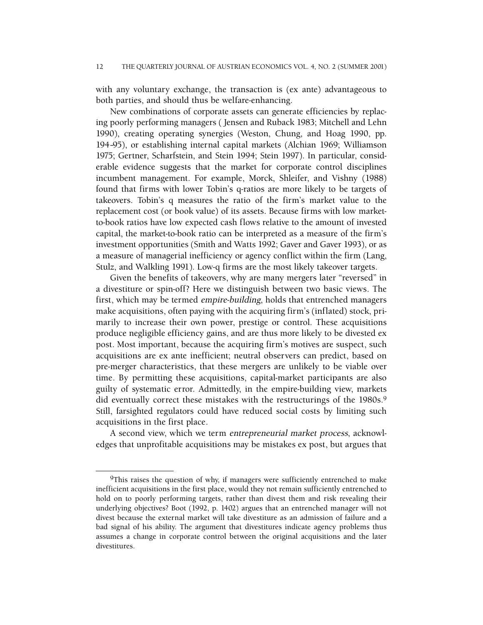with any voluntary exchange, the transaction is (ex ante) advantageous to both parties, and should thus be welfare-enhancing.

New combinations of corporate assets can generate efficiencies by replacing poorly performing managers ( Jensen and Ruback 1983; Mitchell and Lehn 1990), creating operating synergies (Weston, Chung, and Hoag 1990, pp. 194–95), or establishing internal capital markets (Alchian 1969; Williamson 1975; Gertner, Scharfstein, and Stein 1994; Stein 1997). In particular, considerable evidence suggests that the market for corporate control disciplines incumbent management. For example, Morck, Shleifer, and Vishny (1988) found that firms with lower Tobin's q-ratios are more likely to be targets of takeovers. Tobin's q measures the ratio of the firm's market value to the replacement cost (or book value) of its assets. Because firms with low marketto-book ratios have low expected cash flows relative to the amount of invested capital, the market-to-book ratio can be interpreted as a measure of the firm's investment opportunities (Smith and Watts 1992; Gaver and Gaver 1993), or as a measure of managerial inefficiency or agency conflict within the firm (Lang, Stulz, and Walkling 1991). Low-q firms are the most likely takeover targets.

Given the benefits of takeovers, why are many mergers later "reversed" in a divestiture or spin-off? Here we distinguish between two basic views. The first, which may be termed empire-building, holds that entrenched managers make acquisitions, often paying with the acquiring firm's (inflated) stock, primarily to increase their own power, prestige or control. These acquisitions produce negligible efficiency gains, and are thus more likely to be divested ex post. Most important, because the acquiring firm's motives are suspect, such acquisitions are ex ante inefficient; neutral observers can predict, based on pre-merger characteristics, that these mergers are unlikely to be viable over time. By permitting these acquisitions, capital-market participants are also guilty of systematic error. Admittedly, in the empire-building view, markets did eventually correct these mistakes with the restructurings of the 1980s.<sup>9</sup> Still, farsighted regulators could have reduced social costs by limiting such acquisitions in the first place.

A second view, which we term entrepreneurial market process, acknowledges that unprofitable acquisitions may be mistakes ex post, but argues that

<sup>&</sup>lt;sup>9</sup>This raises the question of why, if managers were sufficiently entrenched to make inefficient acquisitions in the first place, would they not remain sufficiently entrenched to hold on to poorly performing targets, rather than divest them and risk revealing their underlying objectives? Boot (1992, p. 1402) argues that an entrenched manager will not divest because the external market will take divestiture as an admission of failure and a bad signal of his ability. The argument that divestitures indicate agency problems thus assumes a change in corporate control between the original acquisitions and the later divestitures.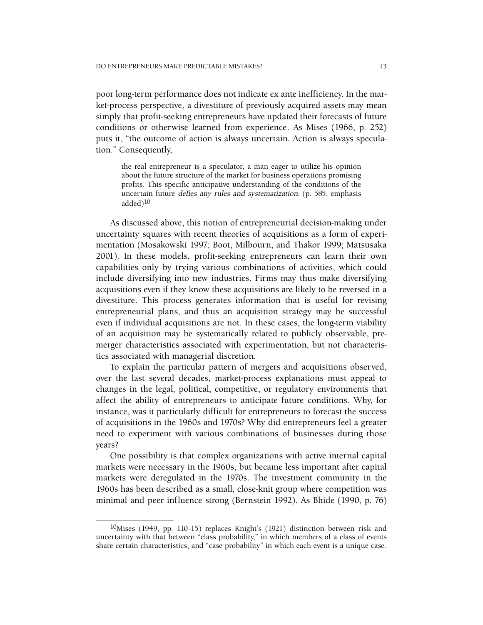poor long-term performance does not indicate ex ante inefficiency. In the market-process perspective, a divestiture of previously acquired assets may mean simply that profit-seeking entrepreneurs have updated their forecasts of future conditions or otherwise learned from experience. As Mises (1966, p. 252) puts it, "the outcome of action is always uncertain. Action is always speculation." Consequently,

the real entrepreneur is a speculator, a man eager to utilize his opinion about the future structure of the market for business operations promising profits. This specific anticipative understanding of the conditions of the uncertain future defies any rules and systematization. (p. 585, emphasis added)10

As discussed above, this notion of entrepreneurial decision-making under uncertainty squares with recent theories of acquisitions as a form of experimentation (Mosakowski 1997; Boot, Milbourn, and Thakor 1999; Matsusaka 2001). In these models, profit-seeking entrepreneurs can learn their own capabilities only by trying various combinations of activities, which could include diversifying into new industries. Firms may thus make diversifying acquisitions even if they know these acquisitions are likely to be reversed in a divestiture. This process generates information that is useful for revising entrepreneurial plans, and thus an acquisition strategy may be successful even if individual acquisitions are not. In these cases, the long-term viability of an acquisition may be systematically related to publicly observable, premerger characteristics associated with experimentation, but not characteristics associated with managerial discretion.

To explain the particular pattern of mergers and acquisitions observed, over the last several decades, market-process explanations must appeal to changes in the legal, political, competitive, or regulatory environments that affect the ability of entrepreneurs to anticipate future conditions. Why, for instance, was it particularly difficult for entrepreneurs to forecast the success of acquisitions in the 1960s and 1970s? Why did entrepreneurs feel a greater need to experiment with various combinations of businesses during those years?

One possibility is that complex organizations with active internal capital markets were necessary in the 1960s, but became less important after capital markets were deregulated in the 1970s. The investment community in the 1960s has been described as a small, close-knit group where competition was minimal and peer influence strong (Bernstein 1992). As Bhide (1990, p. 76)

<sup>10</sup>Mises (1949, pp. 110–15) replaces Knight's (1921) distinction between risk and uncertainty with that between "class probability," in which members of a class of events share certain characteristics, and "case probability" in which each event is a unique case.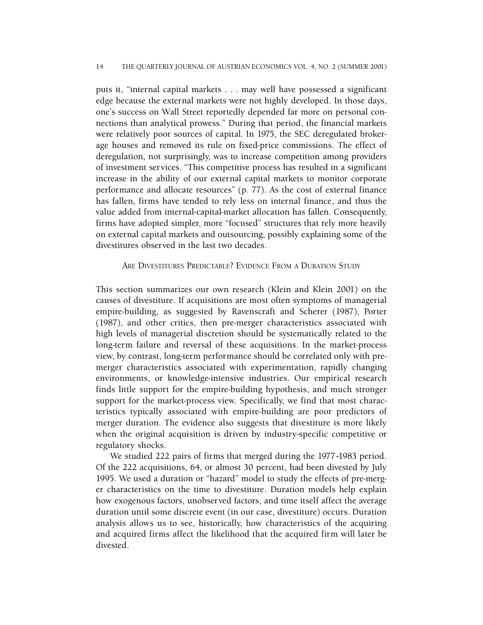puts it, "internal capital markets . . . may well have possessed a significant edge because the external markets were not highly developed. In those days, one's success on Wall Street reportedly depended far more on personal connections than analytical prowess." During that period, the financial markets were relatively poor sources of capital. In 1975, the SEC deregulated brokerage houses and removed its rule on fixed-price commissions. The effect of deregulation, not surprisingly, was to increase competition among providers of investment services. "This competitive process has resulted in a significant increase in the ability of our external capital markets to monitor corporate performance and allocate resources" (p. 77). As the cost of external finance has fallen, firms have tended to rely less on internal finance, and thus the value added from internal-capital-market allocation has fallen. Consequently, firms have adopted simpler, more "focused" structures that rely more heavily on external capital markets and outsourcing, possibly explaining some of the divestitures observed in the last two decades.

# ARE DIVESTITURES PREDICTABLE? EVIDENCE FROM A DURATION STUDY

This section summarizes our own research (Klein and Klein 2001) on the causes of divestiture. If acquisitions are most often symptoms of managerial empire-building, as suggested by Ravenscraft and Scherer (1987), Porter (1987), and other critics, then pre-merger characteristics associated with high levels of managerial discretion should be systematically related to the long-term failure and reversal of these acquisitions. In the market-process view, by contrast, long-term performance should be correlated only with premerger characteristics associated with experimentation, rapidly changing environments, or knowledge-intensive industries. Our empirical research finds little support for the empire-building hypothesis, and much stronger support for the market-process view. Specifically, we find that most characteristics typically associated with empire-building are poor predictors of merger duration. The evidence also suggests that divestiture is more likely when the original acquisition is driven by industry-specific competitive or regulatory shocks.

We studied 222 pairs of firms that merged during the 1977–1983 period. Of the 222 acquisitions, 64, or almost 30 percent, had been divested by July 1995. We used a duration or "hazard" model to study the effects of pre-merger characteristics on the time to divestiture. Duration models help explain how exogenous factors, unobserved factors, and time itself affect the average duration until some discrete event (in our case, divestiture) occurs. Duration analysis allows us to see, historically, how characteristics of the acquiring and acquired firms affect the likelihood that the acquired firm will later be divested.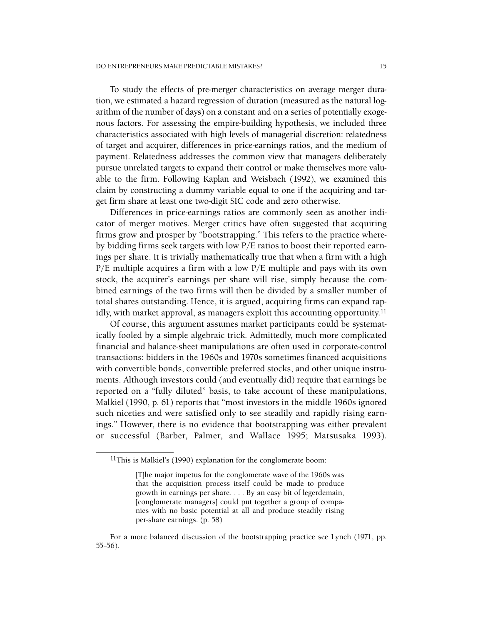To study the effects of pre-merger characteristics on average merger duration, we estimated a hazard regression of duration (measured as the natural logarithm of the number of days) on a constant and on a series of potentially exogenous factors. For assessing the empire-building hypothesis, we included three characteristics associated with high levels of managerial discretion: relatedness of target and acquirer, differences in price-earnings ratios, and the medium of payment. Relatedness addresses the common view that managers deliberately pursue unrelated targets to expand their control or make themselves more valuable to the firm. Following Kaplan and Weisbach (1992), we examined this claim by constructing a dummy variable equal to one if the acquiring and target firm share at least one two-digit SIC code and zero otherwise.

Differences in price-earnings ratios are commonly seen as another indicator of merger motives. Merger critics have often suggested that acquiring firms grow and prosper by "bootstrapping." This refers to the practice whereby bidding firms seek targets with low P/E ratios to boost their reported earnings per share. It is trivially mathematically true that when a firm with a high  $P/E$  multiple acquires a firm with a low  $P/E$  multiple and pays with its own stock, the acquirer's earnings per share will rise, simply because the combined earnings of the two firms will then be divided by a smaller number of total shares outstanding. Hence, it is argued, acquiring firms can expand rapidly, with market approval, as managers exploit this accounting opportunity.<sup>11</sup>

Of course, this argument assumes market participants could be systematically fooled by a simple algebraic trick. Admittedly, much more complicated financial and balance-sheet manipulations are often used in corporate-control transactions: bidders in the 1960s and 1970s sometimes financed acquisitions with convertible bonds, convertible preferred stocks, and other unique instruments. Although investors could (and eventually did) require that earnings be reported on a "fully diluted" basis, to take account of these manipulations, Malkiel (1990, p. 61) reports that "most investors in the middle 1960s ignored such niceties and were satisfied only to see steadily and rapidly rising earnings." However, there is no evidence that bootstrapping was either prevalent or successful (Barber, Palmer, and Wallace 1995; Matsusaka 1993).

<sup>11</sup>This is Malkiel's (1990) explanation for the conglomerate boom:

<sup>[</sup>T]he major impetus for the conglomerate wave of the 1960s was that the acquisition process itself could be made to produce growth in earnings per share. . . . By an easy bit of legerdemain, [conglomerate managers] could put together a group of companies with no basic potential at all and produce steadily rising per-share earnings. (p. 58)

For a more balanced discussion of the bootstrapping practice see Lynch (1971, pp. 55–56).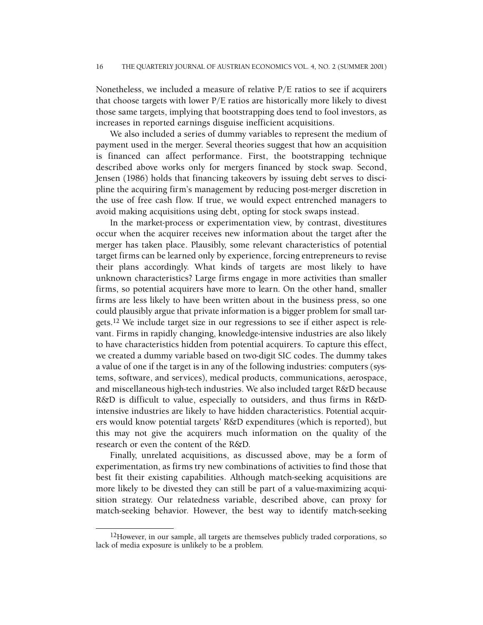Nonetheless, we included a measure of relative P/E ratios to see if acquirers that choose targets with lower P/E ratios are historically more likely to divest those same targets, implying that bootstrapping does tend to fool investors, as increases in reported earnings disguise inefficient acquisitions.

We also included a series of dummy variables to represent the medium of payment used in the merger. Several theories suggest that how an acquisition is financed can affect performance. First, the bootstrapping technique described above works only for mergers financed by stock swap. Second, Jensen (1986) holds that financing takeovers by issuing debt serves to discipline the acquiring firm's management by reducing post-merger discretion in the use of free cash flow. If true, we would expect entrenched managers to avoid making acquisitions using debt, opting for stock swaps instead.

In the market-process or experimentation view, by contrast, divestitures occur when the acquirer receives new information about the target after the merger has taken place. Plausibly, some relevant characteristics of potential target firms can be learned only by experience, forcing entrepreneurs to revise their plans accordingly. What kinds of targets are most likely to have unknown characteristics? Large firms engage in more activities than smaller firms, so potential acquirers have more to learn. On the other hand, smaller firms are less likely to have been written about in the business press, so one could plausibly argue that private information is a bigger problem for small targets.12 We include target size in our regressions to see if either aspect is relevant. Firms in rapidly changing, knowledge-intensive industries are also likely to have characteristics hidden from potential acquirers. To capture this effect, we created a dummy variable based on two-digit SIC codes. The dummy takes a value of one if the target is in any of the following industries: computers (systems, software, and services), medical products, communications, aerospace, and miscellaneous high-tech industries. We also included target R&D because R&D is difficult to value, especially to outsiders, and thus firms in R&Dintensive industries are likely to have hidden characteristics. Potential acquirers would know potential targets' R&D expenditures (which is reported), but this may not give the acquirers much information on the quality of the research or even the content of the R&D.

Finally, unrelated acquisitions, as discussed above, may be a form of experimentation, as firms try new combinations of activities to find those that best fit their existing capabilities. Although match-seeking acquisitions are more likely to be divested they can still be part of a value-maximizing acquisition strategy. Our relatedness variable, described above, can proxy for match-seeking behavior. However, the best way to identify match-seeking

<sup>&</sup>lt;sup>12</sup>However, in our sample, all targets are themselves publicly traded corporations, so lack of media exposure is unlikely to be a problem.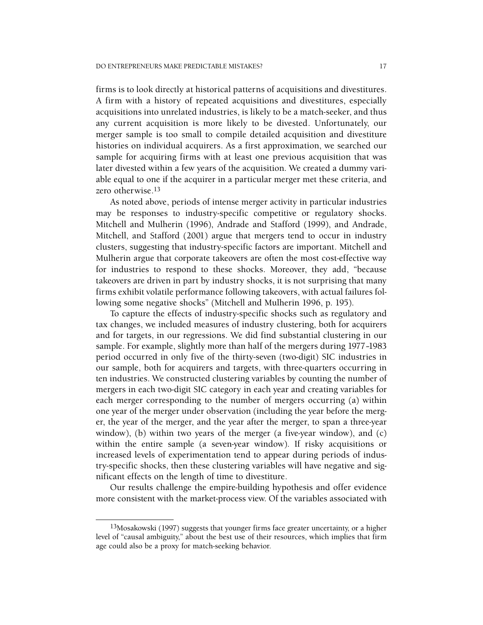firms is to look directly at historical patterns of acquisitions and divestitures. A firm with a history of repeated acquisitions and divestitures, especially acquisitions into unrelated industries, is likely to be a match-seeker, and thus any current acquisition is more likely to be divested. Unfortunately, our merger sample is too small to compile detailed acquisition and divestiture histories on individual acquirers. As a first approximation, we searched our sample for acquiring firms with at least one previous acquisition that was later divested within a few years of the acquisition. We created a dummy variable equal to one if the acquirer in a particular merger met these criteria, and zero otherwise.13

As noted above, periods of intense merger activity in particular industries may be responses to industry-specific competitive or regulatory shocks. Mitchell and Mulherin (1996), Andrade and Stafford (1999), and Andrade, Mitchell, and Stafford (2001) argue that mergers tend to occur in industry clusters, suggesting that industry-specific factors are important. Mitchell and Mulherin argue that corporate takeovers are often the most cost-effective way for industries to respond to these shocks. Moreover, they add, "because takeovers are driven in part by industry shocks, it is not surprising that many firms exhibit volatile performance following takeovers, with actual failures following some negative shocks" (Mitchell and Mulherin 1996, p. 195).

To capture the effects of industry-specific shocks such as regulatory and tax changes, we included measures of industry clustering, both for acquirers and for targets, in our regressions. We did find substantial clustering in our sample. For example, slightly more than half of the mergers during 1977–1983 period occurred in only five of the thirty-seven (two-digit) SIC industries in our sample, both for acquirers and targets, with three-quarters occurring in ten industries. We constructed clustering variables by counting the number of mergers in each two-digit SIC category in each year and creating variables for each merger corresponding to the number of mergers occurring (a) within one year of the merger under observation (including the year before the merger, the year of the merger, and the year after the merger, to span a three-year window), (b) within two years of the merger (a five-year window), and (c) within the entire sample (a seven-year window). If risky acquisitions or increased levels of experimentation tend to appear during periods of industry-specific shocks, then these clustering variables will have negative and significant effects on the length of time to divestiture.

Our results challenge the empire-building hypothesis and offer evidence more consistent with the market-process view. Of the variables associated with

<sup>&</sup>lt;sup>13</sup>Mosakowski (1997) suggests that younger firms face greater uncertainty, or a higher level of "causal ambiguity," about the best use of their resources, which implies that firm age could also be a proxy for match-seeking behavior.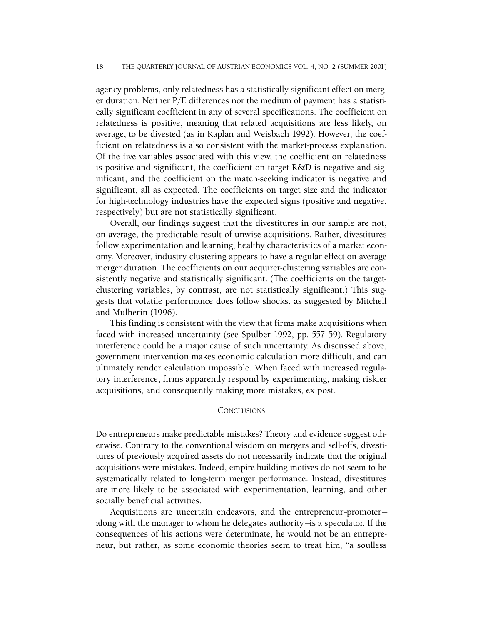agency problems, only relatedness has a statistically significant effect on merger duration. Neither P/E differences nor the medium of payment has a statistically significant coefficient in any of several specifications. The coefficient on relatedness is positive, meaning that related acquisitions are less likely, on average, to be divested (as in Kaplan and Weisbach 1992). However, the coefficient on relatedness is also consistent with the market-process explanation. Of the five variables associated with this view, the coefficient on relatedness is positive and significant, the coefficient on target R&D is negative and significant, and the coefficient on the match-seeking indicator is negative and significant, all as expected. The coefficients on target size and the indicator for high-technology industries have the expected signs (positive and negative, respectively) but are not statistically significant.

Overall, our findings suggest that the divestitures in our sample are not, on average, the predictable result of unwise acquisitions. Rather, divestitures follow experimentation and learning, healthy characteristics of a market economy. Moreover, industry clustering appears to have a regular effect on average merger duration. The coefficients on our acquirer-clustering variables are consistently negative and statistically significant. (The coefficients on the targetclustering variables, by contrast, are not statistically significant.) This suggests that volatile performance does follow shocks, as suggested by Mitchell and Mulherin (1996).

This finding is consistent with the view that firms make acquisitions when faced with increased uncertainty (see Spulber 1992, pp. 557–59). Regulatory interference could be a major cause of such uncertainty. As discussed above, government intervention makes economic calculation more difficult, and can ultimately render calculation impossible. When faced with increased regulatory interference, firms apparently respond by experimenting, making riskier acquisitions, and consequently making more mistakes, ex post.

### **CONCLUSIONS**

Do entrepreneurs make predictable mistakes? Theory and evidence suggest otherwise. Contrary to the conventional wisdom on mergers and sell-offs, divestitures of previously acquired assets do not necessarily indicate that the original acquisitions were mistakes. Indeed, empire-building motives do not seem to be systematically related to long-term merger performance. Instead, divestitures are more likely to be associated with experimentation, learning, and other socially beneficial activities.

Acquisitions are uncertain endeavors, and the entrepreneur–promoter along with the manager to whom he delegates authority—is a speculator. If the consequences of his actions were determinate, he would not be an entrepreneur, but rather, as some economic theories seem to treat him, "a soulless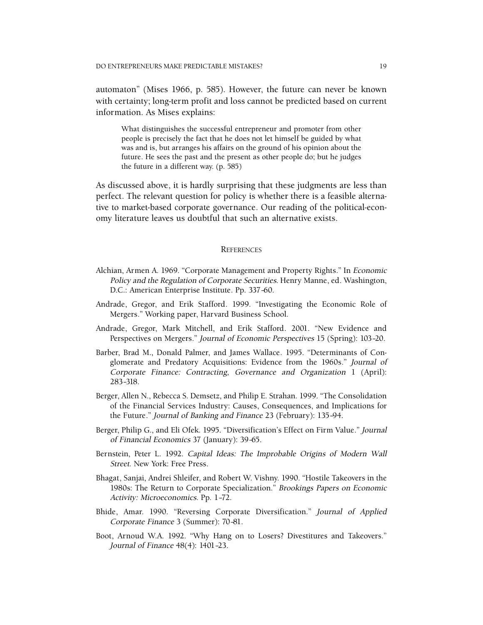automaton" (Mises 1966, p. 585). However, the future can never be known with certainty; long-term profit and loss cannot be predicted based on current information. As Mises explains:

What distinguishes the successful entrepreneur and promoter from other people is precisely the fact that he does not let himself be guided by what was and is, but arranges his affairs on the ground of his opinion about the future. He sees the past and the present as other people do; but he judges the future in a different way. (p. 585)

As discussed above, it is hardly surprising that these judgments are less than perfect. The relevant question for policy is whether there is a feasible alternative to market-based corporate governance. Our reading of the political-economy literature leaves us doubtful that such an alternative exists.

#### **REFERENCES**

- Alchian, Armen A. 1969. "Corporate Management and Property Rights." In Economic Policy and the Regulation of Corporate Securities. Henry Manne, ed. Washington, D.C.: American Enterprise Institute. Pp. 337–60.
- Andrade, Gregor, and Erik Stafford. 1999. "Investigating the Economic Role of Mergers." Working paper, Harvard Business School.
- Andrade, Gregor, Mark Mitchell, and Erik Stafford. 2001. "New Evidence and Perspectives on Mergers." Journal of Economic Perspectives 15 (Spring): 103–20.
- Barber, Brad M., Donald Palmer, and James Wallace. 1995. "Determinants of Conglomerate and Predatory Acquisitions: Evidence from the 1960s." Journal of Corporate Finance: Contracting, Governance and Organization 1 (April): 283–318.
- Berger, Allen N., Rebecca S. Demsetz, and Philip E. Strahan. 1999. "The Consolidation of the Financial Services Industry: Causes, Consequences, and Implications for the Future." Journal of Banking and Finance 23 (February): 135–94.
- Berger, Philip G., and Eli Ofek. 1995. "Diversification's Effect on Firm Value." Journal of Financial Economics 37 (January): 39–65.
- Bernstein, Peter L. 1992. Capital Ideas: The Improbable Origins of Modern Wall Street. New York: Free Press.
- Bhagat, Sanjai, Andrei Shleifer, and Robert W. Vishny. 1990. "Hostile Takeovers in the 1980s: The Return to Corporate Specialization." Brookings Papers on Economic Activity: Microeconomics. Pp. 1–72.
- Bhide, Amar. 1990. "Reversing Corporate Diversification." Journal of Applied Corporate Finance 3 (Summer): 70–81.
- Boot, Arnoud W.A. 1992. "Why Hang on to Losers? Divestitures and Takeovers." Journal of Finance 48(4): 1401–23.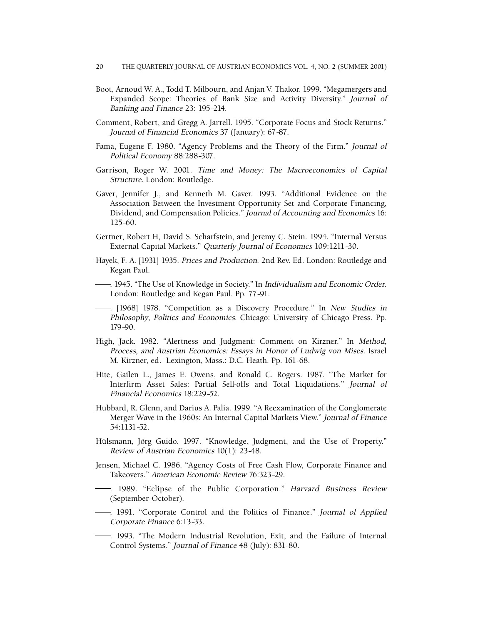- Boot, Arnoud W. A., Todd T. Milbourn, and Anjan V. Thakor. 1999. "Megamergers and Expanded Scope: Theories of Bank Size and Activity Diversity." Journal of Banking and Finance 23: 195–214.
- Comment, Robert, and Gregg A. Jarrell. 1995. "Corporate Focus and Stock Returns." Journal of Financial Economics 37 (January): 67–87.
- Fama, Eugene F. 1980. "Agency Problems and the Theory of the Firm." Journal of Political Economy 88:288–307.
- Garrison, Roger W. 2001. Time and Money: The Macroeconomics of Capital Structure. London: Routledge.
- Gaver, Jennifer J., and Kenneth M. Gaver. 1993. "Additional Evidence on the Association Between the Investment Opportunity Set and Corporate Financing, Dividend, and Compensation Policies." Journal of Accounting and Economics 16: 125–60.
- Gertner, Robert H, David S. Scharfstein, and Jeremy C. Stein. 1994. "Internal Versus External Capital Markets." Quarterly Journal of Economics 109:1211–30.
- Hayek, F. A. [1931] 1935. Prices and Production. 2nd Rev. Ed. London: Routledge and Kegan Paul.
- . 1945. "The Use of Knowledge in Society." In Individualism and Economic Order. London: Routledge and Kegan Paul. Pp. 77–91.
- . [1968] 1978. "Competition as a Discovery Procedure." In New Studies in Philosophy, Politics and Economics. Chicago: University of Chicago Press. Pp. 179–90.
- High, Jack. 1982. "Alertness and Judgment: Comment on Kirzner." In Method, Process, and Austrian Economics: Essays in Honor of Ludwig von Mises. Israel M. Kirzner, ed. Lexington, Mass.: D.C. Heath. Pp. 161–68.
- Hite, Gailen L., James E. Owens, and Ronald C. Rogers. 1987. "The Market for Interfirm Asset Sales: Partial Sell-offs and Total Liquidations." Journal of Financial Economics 18:229–52.
- Hubbard, R. Glenn, and Darius A. Palia. 1999. "A Reexamination of the Conglomerate Merger Wave in the 1960s: An Internal Capital Markets View." Journal of Finance 54:1131–52.
- Hülsmann, Jörg Guido. 1997. "Knowledge, Judgment, and the Use of Property." Review of Austrian Economics 10(1): 23–48.
- Jensen, Michael C. 1986. "Agency Costs of Free Cash Flow, Corporate Finance and Takeovers." American Economic Review 76:323–29.
- . 1989. "Eclipse of the Public Corporation." Harvard Business Review (September–October).
- . 1991. "Corporate Control and the Politics of Finance." Journal of Applied Corporate Finance 6:13–33.
- . 1993. "The Modern Industrial Revolution, Exit, and the Failure of Internal Control Systems." Journal of Finance 48 (July): 831–80.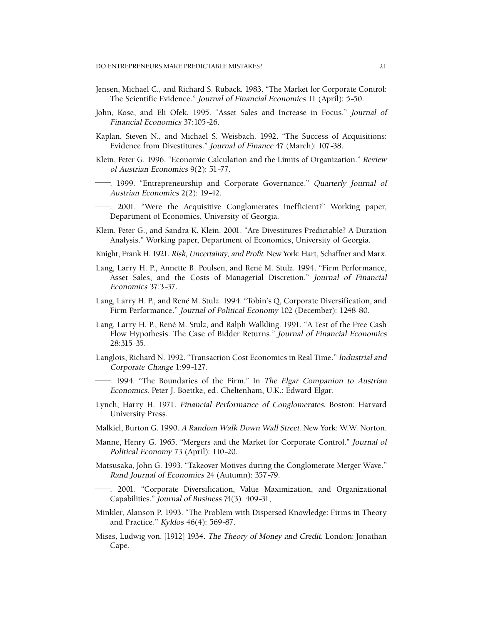- Jensen, Michael C., and Richard S. Ruback. 1983. "The Market for Corporate Control: The Scientific Evidence." Journal of Financial Economics 11 (April): 5–50.
- John, Kose, and Eli Ofek. 1995. "Asset Sales and Increase in Focus." Journal of Financial Economics 37:105–26.
- Kaplan, Steven N., and Michael S. Weisbach. 1992. "The Success of Acquisitions: Evidence from Divestitures." Journal of Finance 47 (March): 107–38.
- Klein, Peter G. 1996. "Economic Calculation and the Limits of Organization." Review of Austrian Economics 9(2): 51–77.
- . 1999. "Entrepreneurship and Corporate Governance." Quarterly Journal of Austrian Economics 2(2): 19–42.
- . 2001. "Were the Acquisitive Conglomerates Inefficient?" Working paper, Department of Economics, University of Georgia.
- Klein, Peter G., and Sandra K. Klein. 2001. "Are Divestitures Predictable? A Duration Analysis." Working paper, Department of Economics, University of Georgia.
- Knight, Frank H. 1921. Risk, Uncertainty, and Profit. New York: Hart, Schaffner and Marx.
- Lang, Larry H. P., Annette B. Poulsen, and René M. Stulz. 1994. "Firm Performance, Asset Sales, and the Costs of Managerial Discretion." Journal of Financial Economics 37:3–37.
- Lang, Larry H. P., and René M. Stulz. 1994. "Tobin's Q, Corporate Diversification, and Firm Performance." Journal of Political Economy 102 (December): 1248–80.
- Lang, Larry H. P., René M. Stulz, and Ralph Walkling. 1991. "A Test of the Free Cash Flow Hypothesis: The Case of Bidder Returns." Journal of Financial Economics 28:315–35.
- Langlois, Richard N. 1992. "Transaction Cost Economics in Real Time." Industrial and Corporate Change 1:99–127.
- . 1994. "The Boundaries of the Firm." In The Elgar Companion to Austrian Economics. Peter J. Boettke, ed. Cheltenham, U.K.: Edward Elgar.
- Lynch, Harry H. 1971. Financial Performance of Conglomerates. Boston: Harvard University Press.
- Malkiel, Burton G. 1990. A Random Walk Down Wall Street. New York: W.W. Norton.
- Manne, Henry G. 1965. "Mergers and the Market for Corporate Control." Journal of Political Economy 73 (April): 110–20.
- Matsusaka, John G. 1993. "Takeover Motives during the Conglomerate Merger Wave." Rand Journal of Economics 24 (Autumn): 357–79.
	- . 2001. "Corporate Diversification, Value Maximization, and Organizational Capabilities." Journal of Business 74(3): 409–31,
- Minkler, Alanson P. 1993. "The Problem with Dispersed Knowledge: Firms in Theory and Practice." Kyklos 46(4): 569–87.
- Mises, Ludwig von. [1912] 1934. The Theory of Money and Credit. London: Jonathan Cape.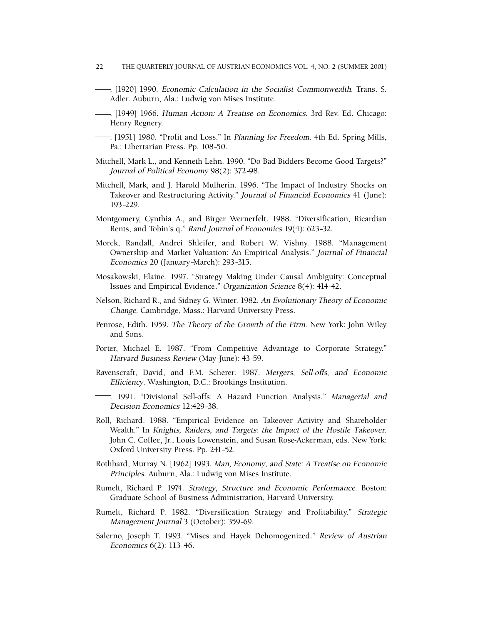- . [1920] 1990. Economic Calculation in the Socialist Commonwealth. Trans. S. Adler. Auburn, Ala.: Ludwig von Mises Institute.
- . [1949] 1966. Human Action: A Treatise on Economics. 3rd Rev. Ed. Chicago: Henry Regnery.
- . [1951] 1980. "Profit and Loss." In Planning for Freedom. 4th Ed. Spring Mills, Pa.: Libertarian Press. Pp. 108–50.
- Mitchell, Mark L., and Kenneth Lehn. 1990. "Do Bad Bidders Become Good Targets?" Journal of Political Economy 98(2): 372–98.
- Mitchell, Mark, and J. Harold Mulherin. 1996. "The Impact of Industry Shocks on Takeover and Restructuring Activity." Journal of Financial Economics 41 (June): 193–229.
- Montgomery, Cynthia A., and Birger Wernerfelt. 1988. "Diversification, Ricardian Rents, and Tobin's q." Rand Journal of Economics 19(4): 623–32.
- Morck, Randall, Andrei Shleifer, and Robert W. Vishny. 1988. "Management Ownership and Market Valuation: An Empirical Analysis." Journal of Financial Economics 20 (January–March): 293–315.
- Mosakowski, Elaine. 1997. "Strategy Making Under Causal Ambiguity: Conceptual Issues and Empirical Evidence." Organization Science 8(4): 414–42.
- Nelson, Richard R., and Sidney G. Winter. 1982. An Evolutionary Theory of Economic Change. Cambridge, Mass.: Harvard University Press.
- Penrose, Edith. 1959. The Theory of the Growth of the Firm. New York: John Wiley and Sons.
- Porter, Michael E. 1987. "From Competitive Advantage to Corporate Strategy." Harvard Business Review (May–June): 43–59.
- Ravenscraft, David, and F.M. Scherer. 1987. Mergers, Sell-offs, and Economic Efficiency. Washington, D.C.: Brookings Institution.
- <sup>---</sup>. 1991. "Divisional Sell-offs: A Hazard Function Analysis." Managerial and Decision Economics 12:429–38.
- Roll, Richard. 1988. "Empirical Evidence on Takeover Activity and Shareholder Wealth." In Knights, Raiders, and Targets: the Impact of the Hostile Takeover. John C. Coffee, Jr., Louis Lowenstein, and Susan Rose-Ackerman, eds. New York: Oxford University Press. Pp. 241–52.
- Rothbard, Murray N. [1962] 1993. Man, Economy, and State: A Treatise on Economic Principles. Auburn, Ala.: Ludwig von Mises Institute.
- Rumelt, Richard P. 1974. Strategy, Structure and Economic Performance. Boston: Graduate School of Business Administration, Harvard University.
- Rumelt, Richard P. 1982. "Diversification Strategy and Profitability." Strategic Management Journal 3 (October): 359–69.
- Salerno, Joseph T. 1993. "Mises and Hayek Dehomogenized." Review of Austrian Economics 6(2): 113–46.